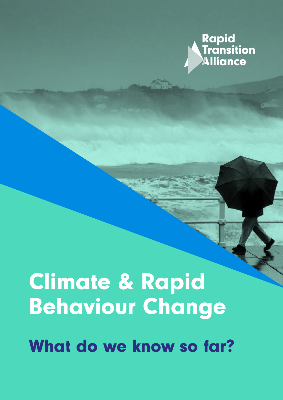

# Climate & Rapid Behaviour Change

What do we know so far?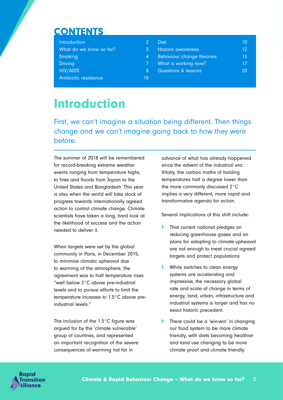# **CONTENTS**

| Introduction                             | 2              | <b>Diet</b>                      | 10 |
|------------------------------------------|----------------|----------------------------------|----|
| What do we know so far?                  | 3              | <b>Hazard awareness</b>          | 12 |
| Smoking                                  | $\overline{4}$ | <b>Behaviour change theories</b> | 13 |
| <b>Driving</b>                           | 7.             | What is working now?             | 17 |
| <b>HIV/AIDS</b><br>Antibiotic resistance | l8.<br>10      | <b>Questions &amp; lessons</b>   | 20 |

# Introduction

First, we can't imagine a situation being different. Then things change and we can't imagine going back to how they were before.

The summer of 2018 will be remembered for record-breaking extreme weather events ranging from temperature highs, to fires and floods from Japan to the United States and Bangladesh. This year is also when the world will take stock of progress towards internationally agreed action to control climate change. Climate scientists have taken a long, hard look at the likelihood of success and the action needed to deliver it.

When targets were set by the global community in Paris, in December 2015, to minimise climatic upheaval due to warming of the atmosphere, the agreement was to halt temperature rises "well below 2°C above pre-industrial levels and to pursue efforts to limit the temperature increase to 1.5°C above preindustrial levels."

The inclusion of the 1.5°C figure was argued for by the 'climate vulnerable' group of countries, and represented an important recognition of the severe consequences of warming not far in

advance of what has already happened since the advent of the industrial era. Vitally, the carbon maths of holding temperatures half a degree lower than the more commonly discussed 2°C implies a very different, more rapid and transformative agenda for action.

Several implications of this shift include:

- That current national pledges on reducing greenhouse gases and on plans for adapting to climate upheaval are not enough to meet crucial agreed targets and protect populations.
- While switches to clean energy systems are accelerating and impressive, the necessary global rate and scale of change in terms of energy, land, urban, infrastructure and industrial systems is larger and has no exact historic precedent.
- There could be a 'win-win' in changing our food system to be more climate friendly, with diets becoming healthier and land use changing to be more climate proof and climate friendly.

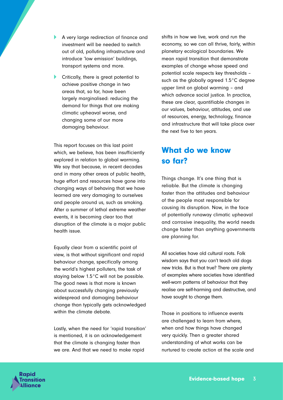- A very large redirection of finance and investment will be needed to switch out of old, polluting infrastructure and introduce 'low emission' buildings, transport systems and more.
- $\blacktriangleright$  Critically, there is great potential to achieve positive change in two areas that, so far, have been largely marginalised: reducing the demand for things that are making climatic upheaval worse, and changing some of our more damaging behaviour.

This report focuses on this last point which, we believe, has been insufficiently explored in relation to global warming. We say that because, in recent decades and in many other areas of public health, huge effort and resources have gone into changing ways of behaving that we have learned are very damaging to ourselves and people around us, such as smoking. After a summer of lethal extreme weather events, it is becoming clear too that disruption of the climate is a major public health issue.

Equally clear from a scientific point of view, is that without significant and rapid behaviour change, specifically among the world's highest polluters, the task of staying below 1.5°C will not be possible. The good news is that more is known about successfully changing previously widespread and damaging behaviour change than typically gets acknowledged within the climate debate.

Lastly, when the need for 'rapid transition' is mentioned, it is an acknowledgement that the climate is changing faster than we are. And that we need to make rapid

shifts in how we live, work and run the economy, so we can all thrive, fairly, within planetary ecological boundaries. We mean rapid transition that demonstrate examples of change whose speed and potential scale respects key thresholds – such as the globally agreed 1.5°C degree upper limit on global warming – and which advance social justice. In practice, these are clear, quantifiable changes in our values, behaviour, attitudes, and use of resources, energy, technology, finance and infrastructure that will take place over the next five to ten years.

# What do we know so far?

Things change. It's one thing that is reliable. But the climate is changing faster than the attitudes and behaviour of the people most responsible for causing its disruption. Now, in the face of potentially runaway climatic upheaval and corrosive inequality, the world needs change faster than anything governments are planning for.

All societies have old cultural roots. Folk wisdom says that you can't teach old dogs new tricks. But is that true? There are plenty of examples where societies have identified well-worn patterns of behaviour that they realise are self-harming and destructive, and have sought to change them.

Those in positions to influence events are challenged to learn from where, when and how things have changed very quickly. Then a greater shared understanding of what works can be nurtured to create action at the scale and

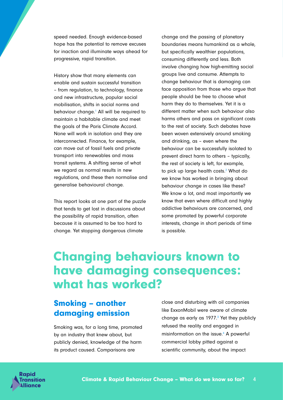speed needed. Enough evidence-based hope has the potential to remove excuses for inaction and illuminate ways ahead for progressive, rapid transition.

History show that many elements can enable and sustain successful transition – from regulation, to technology, finance and new infrastructure, popular social mobilisation, shifts in social norms and behaviour change.<sup>1</sup> All will be required to maintain a habitable climate and meet the goals of the Paris Climate Accord. None will work in isolation and they are interconnected. Finance, for example, can move out of fossil fuels and private transport into renewables and mass transit systems. A shifting sense of what we regard as normal results in new regulations, and these then normalise and generalise behavioural change.

This report looks at one part of the puzzle that tends to get lost in discussions about the possibility of rapid transition, often because it is assumed to be too hard to change. Yet stopping dangerous climate

change and the passing of planetary boundaries means humankind as a whole, but specifically wealthier populations, consuming differently and less. Both involve changing how high-emitting social groups live and consume. Attempts to change behaviour that is damaging can face opposition from those who argue that people should be free to choose what harm they do to themselves. Yet it is a different matter when such behaviour also harms others and pass on significant costs to the rest of society. Such debates have been woven extensively around smoking and drinking, as – even where the behaviour can be successfully isolated to prevent direct harm to others – typically, the rest of society is left, for example, to pick up large health costs.<sup>2</sup> What do we know has worked in bringing about behaviour change in cases like these? We know a lot, and most importantly we know that even where difficult and highly addictive behaviours are concerned, and some promoted by powerful corporate interests, change in short periods of time is possible.

# Changing behaviours known to have damaging consequences: what has worked?

# Smoking – another damaging emission

Smoking was, for a long time, promoted by an industry that knew about, but publicly denied, knowledge of the harm its product caused. Comparisons are

close and disturbing with oil companies like ExxonMobil were aware of climate change as early as  $1977<sup>3</sup>$  Yet they publicly refused the reality and engaged in misinformation on the issue.<sup>4</sup> A powerful commercial lobby pitted against a scientific community, about the impact

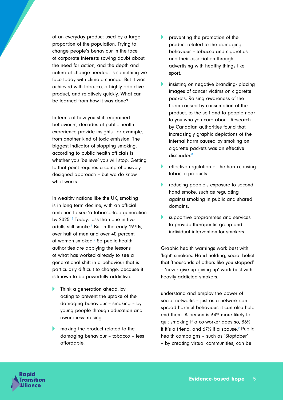of an everyday product used by a large proportion of the population. Trying to change people's behaviour in the face of corporate interests sowing doubt about the need for action, and the depth and nature of change needed, is something we face today with climate change. But it was achieved with tobacco, a highly addictive product, and relatively quickly. What can be learned from how it was done?

In terms of how you shift engrained behaviours, decades of public health experience provide insights, for example, from another kind of toxic emission. The biggest indicator of stopping smoking, according to public health officials is whether you 'believe' you will stop. Getting to that point requires a comprehensively designed approach – but we do know what works.

In wealthy nations like the UK, smoking is in long term decline, with an official ambition to see 'a tobacco-free generation by 2025'.<sup>5</sup> Today, less than one in five adults still smoke.<sup>6</sup> But in the early 1970s, over half of men and over 40 percent of women smoked.<sup>7</sup> So public health authorities are applying the lessons of what has worked already to see a generational shift in a behaviour that is particularly difficult to change, because it is known to be powerfully addictive.

- Think a generation ahead, by acting to prevent the uptake of the damaging behaviour – smoking – by young people through education and awareness- raising.
- making the product related to the damaging behaviour – tobacco – less affordable.
- preventing the promotion of the product related to the damaging behaviour – tobacco and cigarettes and their association through advertising with healthy things like sport.
- insisting on negative branding- placing images of cancer victims on cigarette packets. Raising awareness of the harm caused by consumption of the product, to the self and to people near to you who you care about. Research by Canadian authorities found that increasingly graphic depictions of the internal harm caused by smoking on cigarette packets was an effective dissuader.<sup>8</sup>
- effective regulation of the harm-causing tobacco products.
- reducing people's exposure to secondhand smoke, such as regulating against smoking in public and shared domains.
- supportive programmes and services to provide therapeutic group and individual intervention for smokers.

Graphic health warnings work best with 'light' smokers. Hand holding, social belief that 'thousands of others like you stopped' – 'never give up giving up' work best with heavily addicted smokers.

understand and employ the power of social networks – just as a network can spread harmful behaviour, it can also help end them. A person is 34% more likely to quit smoking if a co-worker does so, 36% if it's a friend, and  $67\%$  if a spouse.<sup>9</sup> Public health campaigns – such as 'Stoptober' – by creating virtual communities, can be

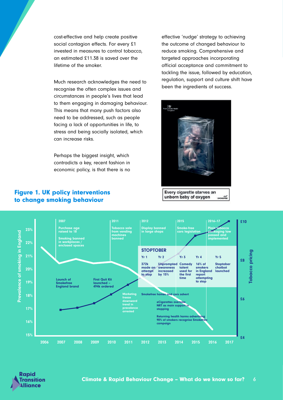cost-effective and help create positive social contagion effects. For every £1 invested in measures to control tobacco, an estimated £11.38 is saved over the lifetime of the smoker.

Much research acknowledges the need to recognise the often complex issues and circumstances in people's lives that lead to them engaging in damaging behaviour. This means that many push factors also need to be addressed, such as people facing a lack of opportunities in life, to stress and being socially isolated, which can increase risks.

Perhaps the biggest insight, which contradicts a key, recent fashion in economic policy, is that there is no

Figure 1. UK policy interventions to change smoking behaviour

effective 'nudge' strategy to achieving the outcome of changed behaviour to reduce smoking. Comprehensive and targeted approaches incorporating official acceptance and commitment to tackling the issue, followed by education, regulation, support and culture shift have been the ingredients of success.



unborn baby of oxygen SMOKEREE



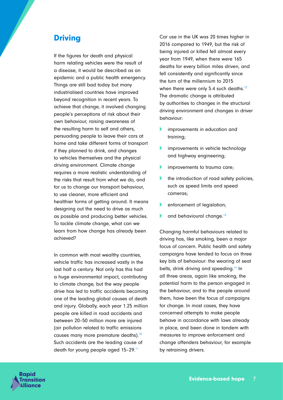# **Driving**

If the figures for death and physical harm relating vehicles were the result of a disease, it would be described as an epidemic and a public health emergency. Things are still bad today but many industrialised countries have improved beyond recognition in recent years. To achieve that change, it involved changing people's perceptions of risk about their own behaviour, raising awareness of the resulting harm to self and others, persuading people to leave their cars at home and take different forms of transport if they planned to drink, and changes to vehicles themselves and the physical driving environment. Climate change requires a more realistic understanding of the risks that result from what we do, and for us to change our transport behaviour, to use cleaner, more efficient and healthier forms of getting around. It means designing out the need to drive as much as possible and producing better vehicles. To tackle climate change, what can we learn from how change has already been achieved?

In common with most wealthy countries, vehicle traffic has increased vastly in the last half a century. Not only has this had a huge environmental impact, contributing to climate change, but the way people drive has led to traffic accidents becoming one of the leading global causes of death and injury. Globally, each year 1.25 million people are killed in road accidents and between 20–50 million more are injured (air pollution related to traffic emissions causes many more premature deaths).<sup>10</sup> Such accidents are the leading cause of death for young people aged 15–29.11

Car use in the UK was 20 times higher in 2016 compared to 1949, but the risk of being injured or killed fell almost every year from 1949, when there were 165 deaths for every billion miles driven, and fell consistently and significantly since the turn of the millennium to 2015 when there were only 5.4 such deaths.<sup>12</sup> The dramatic change is attributed by authorities to changes in the structural driving environment and changes in driver behaviour:

- improvements in education and training;
- improvements in vehicle technology and highway engineering;
- improvements to trauma care;
- the introduction of road safety policies, such as speed limits and speed cameras;
- enforcement of legislation;
- and behavioural change.<sup>13</sup>

Changing harmful behaviours related to driving has, like smoking, been a major focus of concern. Public health and safety campaigns have tended to focus on three key bits of behaviour: the wearing of seat belts, drink driving and speeding.<sup>14</sup> In all three areas, again like smoking, the potential harm to the person engaged in the behaviour, and to the people around them, have been the focus of campaigns for change. In most cases, they have concerned attempts to make people behave in accordance with laws already in place, and been done in tandem with measures to improve enforcement and change offenders behaviour, for example by retraining drivers.

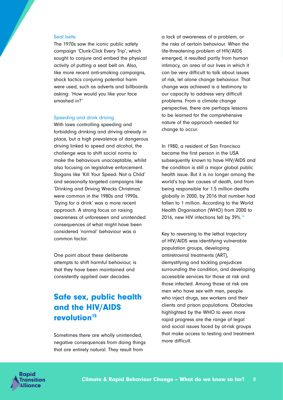#### Seat belts

The 1970s saw the iconic public safety campaign 'Clunk-Click Every Trip', which sought to conjure and embed the physical activity of putting a seat belt on. Also, like more recent anti-smoking campaigns, shock tactics conjuring potential harm were used, such as adverts and billboards asking: 'How would you like your face smashed in?'

#### Speeding and drink driving

With laws controlling speeding and forbidding drinking and driving already in place, but a high prevalence of dangerous driving linked to speed and alcohol, the challenge was to shift social norms to make the behaviours unacceptable, whilst also focusing on legislative enforcement. Slogans like 'Kill Your Speed. Not a Child' and seasonally targeted campaigns like 'Drinking and Driving Wrecks Christmas' were common in the 1980s and 1990s. 'Dying for a drink' was a more recent approach. A strong focus on raising awareness of unforeseen and unintended consequences of what might have been considered 'normal' behaviour was a common factor.

One point about these deliberate attempts to shift harmful behaviour, is that they have been maintained and consistently applied over decades.

# Safe sex, public health and the HIV/AIDS revolution<sup>15</sup>

Sometimes there are wholly unintended, negative consequences from doing things that are entirely natural. They result from

a lack of awareness of a problem, or the risks of certain behaviour. When the life-threatening problem of HIV/AIDS emerged, it resulted partly from human intimacy, an area of our lives in which it can be very difficult to talk about issues of risk, let alone change behaviour. That change was achieved is a testimony to our capacity to address very difficult problems. From a climate change perspective, there are perhaps lessons to be learned for the comprehensive nature of the approach needed for change to occur.

In 1980, a resident of San Francisco became the first person in the USA subsequently known to have HIV/AIDS and the condition is still a major global public health issue. But it is no longer among the world's top ten causes of death, and from being responsible for 1.5 million deaths globally in 2000, by 2016 that number had fallen to 1 million. According to the World Health Organisation (WHO) from 2000 to 2016, new HIV infections fell by 39%.16

Key to reversing to the lethal trajectory of HIV/AIDS was identifying vulnerable population groups, developing antiretroviral treatments (ART), demystifying and tackling prejudices surrounding the condition, and developing accessible services for those at risk and those infected. Among those at risk are men who have sex with men, people who inject drugs, sex workers and their clients and prison populations. Obstacles highlighted by the WHO to even more rapid progress are the range of legal and social issues faced by at-risk groups that make access to testing and treatment more difficult.

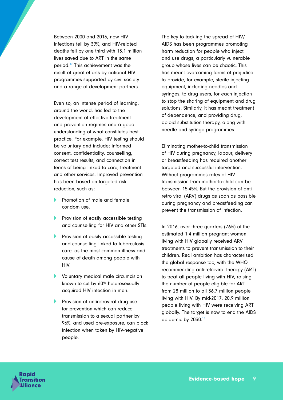Between 2000 and 2016, new HIV infections fell by 39%, and HIV-related deaths fell by one third with 13.1 million lives saved due to ART in the same period.17 This achievement was the result of great efforts by national HIV programmes supported by civil society and a range of development partners.

Even so, an intense period of learning, around the world, has led to the development of effective treatment and prevention regimes and a good understanding of what constitutes best practice. For example, HIV testing should be voluntary and include: informed consent, confidentiality, counselling, correct test results, and connection in terms of being linked to care, treatment and other services. Improved prevention has been based on targeted risk reduction, such as:

- **A** Promotion of male and female condom use.
- **A Provision of easily accessible testing** and counselling for HIV and other STIs.
- **A Provision of easily accessible testing** and counselling linked to tuberculosis care, as the most common illness and cause of death among people with HIV.
- A Voluntary medical male circumcision known to cut by 60% heterosexually acquired HIV infection in men.
- **A Provision of antiretroviral drug use** for prevention which can reduce transmission to a sexual partner by 96%, and used pre-exposure, can block infection when taken by HIV-negative people.

The key to tackling the spread of HIV/ AIDS has been programmes promoting harm reduction for people who inject and use drugs, a particularly vulnerable group whose lives can be chaotic. This has meant overcoming forms of prejudice to provide, for example, sterile injecting equipment, including needles and syringes, to drug users, for each injection to stop the sharing of equipment and drug solutions. Similarly, it has meant treatment of dependence, and providing drug, opioid substitution therapy, along with needle and syringe programmes.

Eliminating mother-to-child transmission of HIV during pregnancy, labour, delivery or breastfeeding has required another targeted and successful intervention. Without programmes rates of HIV transmission from mother-to-child can be between 15-45%. But the provision of antiretro viral (ARV) drugs as soon as possible during pregnancy and breastfeeding can prevent the transmission of infection.

In 2016, over three quarters (76%) of the estimated 1.4 million pregnant women living with HIV globally received ARV treatments to prevent transmission to their children. Real ambition has characterised the global response too, with the WHO recommending anti-retroviral therapy (ART) to treat all people living with HIV, raising the number of people eligible for ART from 28 million to all 36.7 million people living with HIV. By mid-2017, 20.9 million people living with HIV were receiving ART globally. The target is now to end the AIDS epidemic by 2030.<sup>18</sup>

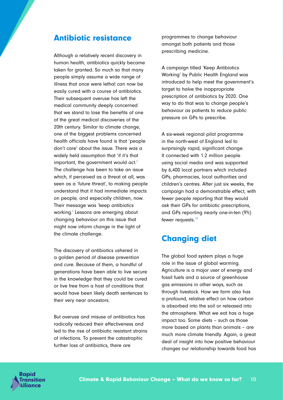### Antibiotic resistance

Although a relatively recent discovery in human health, antibiotics quickly became taken for granted. So much so that many people simply assume a wide range of illness that once were lethal can now be easily cured with a course of antibiotics. Their subsequent overuse has left the medical community deeply concerned that we stand to lose the benefits of one of the great medical discoveries of the 20th century. Similar to climate change, one of the biggest problems concerned health officials have found is that 'people don't care' about the issue. There was a widely held assumption that 'if it's that important, the government would act.' The challenge has been to take an issue which, if perceived as a threat at all, was seen as a 'future threat', to making people understand that it had immediate impacts on people, and especially children, now. Their message was 'keep antibiotics working.' Lessons are emerging about changing behaviour on this issue that might now inform change in the light of the climate challenge.

The discovery of antibiotics ushered in a golden period of disease prevention and cure. Because of them, a handful of generations have been able to live secure in the knowledge that they could be cured or live free from a host of conditions that would have been likely death sentences to their very near ancestors.

But overuse and misuse of antibiotics has radically reduced their effectiveness and led to the rise of antibiotic resistant strains of infections. To prevent the catastrophic further loss of antibiotics, there are

programmes to change behaviour amongst both patients and those prescribing medicine.

A campaign titled 'Keep Antibiotics Working' by Public Health England was introduced to help meet the government's target to halve the inappropriate prescription of antibiotics by 2020. One way to do that was to change people's behaviour as patients to reduce public pressure on GPs to prescribe.

A six-week regional pilot programme in the north-west of England led to surprisingly rapid, significant change. It connected with 1.2 million people using social media and was supported by 6,400 local partners which included GPs, pharmacies, local authorities and children's centres. After just six weeks, the campaign had a demonstrable effect, with fewer people reporting that they would ask their GPs for antibiotic prescriptions, and GPs reporting nearly one-in-ten (9%) fewer requests.<sup>19</sup>

# Changing diet

The global food system plays a huge role in the issue of global warming. Agriculture is a major user of energy and fossil fuels and a source of greenhouse gas emissions in other ways, such as through livestock. How we farm also has a profound, relative effect on how carbon is absorbed into the soil or released into the atmosphere. What we eat has a huge impact too. Some diets – such as those more based on plants than animals – are much more climate friendly. Again, a great deal of insight into how positive behaviour changes our relationship towards food has

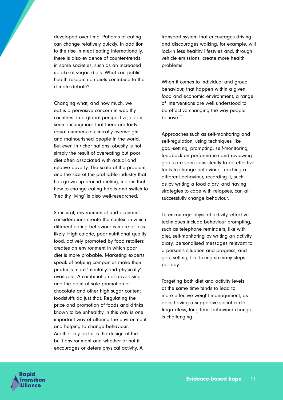developed over time. Patterns of eating can change relatively quickly. In addition to the rise in meat eating internationally, there is also evidence of counter-trends in some societies, such as an increased uptake of vegan diets. What can public health research on diets contribute to the climate debate?

Changing what, and how much, we eat is a pervasive concern in wealthy countries. In a global perspective, it can seem incongruous that there are fairly equal numbers of clinically overweight and malnourished people in the world. But even in richer nations, obesity is not simply the result of overeating but poor diet often associated with actual and relative poverty. The scale of the problem, and the size of the profitable industry that has grown up around dieting, means that how to change eating habits and switch to 'healthy living' is also well-researched.

Structural, environmental and economic considerations create the context in which different eating behaviour is more or less likely. High calorie, poor nutritional quality food, actively promoted by food retailers creates an environment in which poor diet is more probable. Marketing experts speak of helping companies make their products more 'mentally and physically' available. A combination of advertising and the point of sale promotion of chocolate and other high sugar content foodstuffs do just that. Regulating the price and promotion of foods and drinks known to be unhealthy in this way is one important way of altering the environment and helping to change behaviour. Another key factor is the design of the built environment and whether or not it encourages or deters physical activity. A

transport system that encourages driving and discourages walking, for example, will lock-in less healthy lifestyles and, through vehicle emissions, create more health problems.

When it comes to individual and group behaviour, that happen within a given food and economic environment, a range of interventions are well understood to be effective changing the way people behave.<sup>20</sup>

Approaches such as self-monitoring and self-regulation, using techniques like goal-setting, prompting, self-monitoring, feedback on performance and reviewing goals are seen consistently to be effective tools to change behaviour. Teaching a different behaviour, recording it, such as by writing a food diary, and having strategies to cope with relapses, can all successfully change behaviour.

To encourage physical activity, effective techniques include behaviour prompting, such as telephone reminders, like with diet, self-monitoring by writing an activity diary, personalised messages relevant to a person's situation and progress, and goal-setting, like taking so-many steps per day.

Targeting both diet and activity levels at the same time tends to lead to more effective weight management, as does having a supportive social circle. Regardless, long-term behaviour change is challenging.

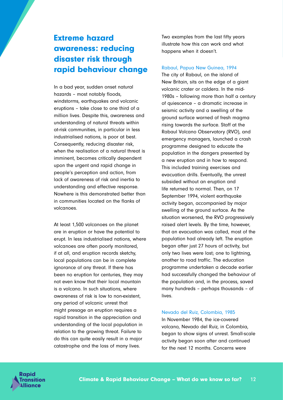# Extreme hazard awareness: reducing disaster risk through rapid behaviour change

In a bad year, sudden onset natural hazards – most notably floods, windstorms, earthquakes and volcanic eruptions – take close to one third of a million lives. Despite this, awareness and understanding of natural threats within at-risk communities, in particular in less industrialised nations, is poor at best. Consequently, reducing disaster risk, when the realisation of a natural threat is imminent, becomes critically dependent upon the urgent and rapid change in people's perception and action, from lack of awareness of risk and inertia to understanding and effective response. Nowhere is this demonstrated better than in communities located on the flanks of volcanoes.

At least 1,500 volcanoes on the planet are in eruption or have the potential to erupt. In less industrialised nations, where volcanoes are often poorly monitored, if at all, and eruption records sketchy, local populations can be in complete ignorance of any threat. If there has been no eruption for centuries, they may not even know that their local mountain is a volcano. In such situations, where awareness of risk is low to non-existent, any period of volcanic unrest that might presage an eruption requires a rapid transition in the appreciation and understanding of the local population in relation to the growing threat. Failure to do this can quite easily result in a major catastrophe and the loss of many lives.

Two examples from the last fifty years illustrate how this can work and what happens when it doesn't.

#### Rabaul, Papua New Guinea, 1994

The city of Rabaul, on the island of New Britain, sits on the edge of a giant volcanic crater or caldera. In the mid-1980s – following more than half a century of quiescence – a dramatic increase in seismic activity and a swelling of the ground surface warned of fresh magma rising towards the surface. Staff at the Rabaul Volcano Observatory (RVO), and emergency managers, launched a crash programme designed to educate the population in the dangers presented by a new eruption and in how to respond. This included training exercises and evacuation drills. Eventually, the unrest subsided without an eruption and life returned to normal. Then, on 17 September 1994, violent earthquake activity began, accompanied by major swelling of the ground surface. As the situation worsened, the RVO progressively raised alert levels. By the time, however, that an evacuation was called, most of the population had already left. The eruption began after just 27 hours of activity, but only two lives were lost; one to lightning, another to road traffic. The education programme undertaken a decade earlier had successfully changed the behaviour of the population and, in the process, saved many hundreds – perhaps thousands – of lives.

#### Nevado del Ruiz, Colombia, 1985

In November 1984, the ice-covered volcano, Nevado del Ruiz, in Colombia, began to show signs of unrest. Small-scale activity began soon after and continued for the next 12 months. Concerns were

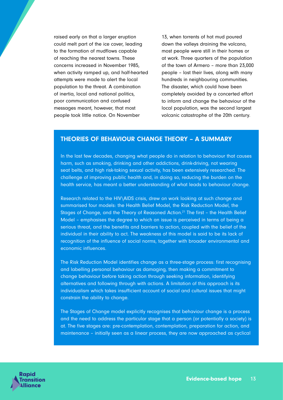raised early on that a larger eruption could melt part of the ice cover, leading to the formation of mudflows capable of reaching the nearest towns. These concerns increased in November 1985, when activity ramped up, and half-hearted attempts were made to alert the local population to the threat. A combination of inertia, local and national politics, poor communication and confused messages meant, however, that most people took little notice. On November

13, when torrents of hot mud poured down the valleys draining the volcano, most people were still in their homes or at work. Three quarters of the population of the town of Armero – more than 23,000 people – lost their lives, along with many hundreds in neighbouring communities. The disaster, which could have been completely avoided by a concerted effort to inform and change the behaviour of the local population, was the second largest volcanic catastrophe of the 20th century.

#### THEORIES OF BEHAVIOUR CHANGE THEORY – A SUMMARY

In the last few decades, changing what people do in relation to behaviour that causes harm, such as smoking, drinking and other addictions, drink-driving, not wearing seat belts, and high risk-taking sexual activity, has been extensively researched. The challenge of improving public health and, in doing so, reducing the burden on the health service, has meant a better understanding of what leads to behaviour change.

Research related to the HIV\AIDS crisis, drew on work looking at such change and summarised four models: the Health Belief Model, the Risk Reduction Model, the Stages of Change, and the Theory of Reasoned Action.21 The first – the Health Belief Model – emphasises the degree to which an issue is perceived in terms of being a serious threat, and the benefits and barriers to action, coupled with the belief of the individual in their ability to act. The weakness of this model is said to be its lack of recognition of the influence of social norms, together with broader environmental and economic influences.

The Risk Reduction Model identifies change as a three-stage process: first recognising and labelling personal behaviour as damaging, then making a commitment to change behaviour before taking action through seeking information, identifying alternatives and following through with actions. A limitation of this approach is its individualism which takes insufficient account of social and cultural issues that might constrain the ability to change.

The Stages of Change model explicitly recognises that behaviour change is a process and the need to address the particular stage that a person (or potentially a society) is at. The five stages are: pre-contemplation, contemplation, preparation for action, and maintenance – initially seen as a linear process, they are now approached as cyclical

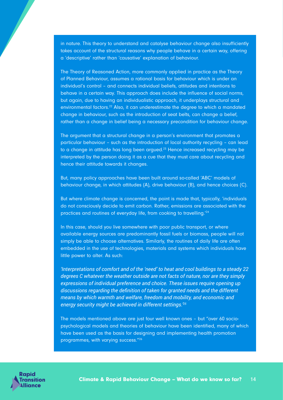in nature. This theory to understand and catalyse behaviour change also insufficiently takes account of the structural reasons why people behave in a certain way, offering a 'descriptive' rather than 'causative' explanation of behaviour.

The Theory of Reasoned Action, more commonly applied in practice as the Theory of Planned Behaviour, assumes a rational basis for behaviour which is under an individual's control – and connects individual beliefs, attitudes and intentions to behave in a certain way. This approach does include the influence of social norms, but again, due to having an individualistic approach, it underplays structural and environmental factors.<sup>22</sup> Also, it can underestimate the degree to which a mandated change in behaviour, such as the introduction of seat belts, can change a belief, rather than a change in belief being a necessary precondition for behaviour change.

The argument that a structural change in a person's environment that promotes a particular behaviour – such as the introduction of local authority recycling – can lead to a change in attitude has long been argued.<sup>23</sup> Hence increased recycling may be interpreted by the person doing it as a cue that they must care about recycling and hence their attitude towards it changes.

But, many policy approaches have been built around so-called 'ABC' models of behaviour change, in which attitudes (A), drive behaviour (B), and hence choices (C).

But where climate change is concerned, the point is made that, typically, 'individuals do not consciously decide to emit carbon. Rather, emissions are associated with the practices and routines of everyday life, from cooking to travelling.'24

In this case, should you live somewhere with poor public transport, or where available energy sources are predominantly fossil fuels or biomass, people will not simply be able to choose alternatives. Similarly, the routines of daily life are often embedded in the use of technologies, materials and systems which individuals have little power to alter. As such:

*'Interpretations of comfort and of the 'need' to heat and cool buildings to a steady 22 degrees C whatever the weather outside are not facts of nature, nor are they simply expressions of individual preference and choice. These issues require opening up discussions regarding the definition of taken for granted needs and the different means by which warmth and welfare, freedom and mobility, and economic and energy security might be achieved in different settings.'25*

The models mentioned above are just four well known ones – but "over 60 sociopsychological models and theories of behaviour have been identified, many of which have been used as the basis for designing and implementing health promotion programmes, with varying success."26

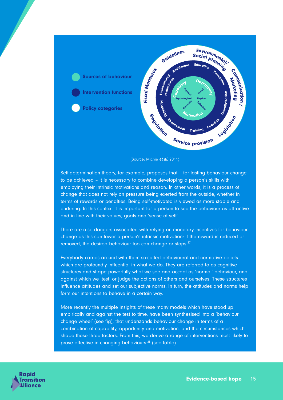



Self-determination theory, for example, proposes that – for lasting behaviour change to be achieved – it is necessary to combine developing a person's skills with employing their intrinsic motivations and reason. In other words, it is a process of change that does not rely on pressure being exerted from the outside, whether in terms of rewards or penalties. Being self-motivated is viewed as more stable and enduring. In this context it is important for a person to see the behaviour as attractive and in line with their values, goals and 'sense of self'.

There are also dangers associated with relying on monetary incentives for behaviour change as this can lower a person's intrinsic motivation: if the reward is reduced or removed, the desired behaviour too can change or stops.<sup>27</sup>

Everybody carries around with them so-called behavioural and normative beliefs which are profoundly influential in what we do. They are referred to as cognitive structures and shape powerfully what we see and accept as 'normal' behaviour, and against which we 'test' or judge the actions of others and ourselves. These structures influence attitudes and set our subjective norms. In turn, the attitudes and norms help form our intentions to behave in a certain way.

More recently the multiple insights of these many models which have stood up empirically and against the test to time, have been synthesised into a 'behaviour change wheel' (see fig), that understands behaviour change in terms of a combination of capability, opportunity and motivation, and the circumstances which shape those three factors. From this, we derive a range of interventions most likely to prove effective in changing behaviours.28 (see table)

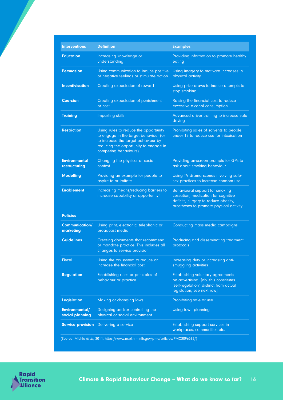| <b>Interventions</b>                                                                | <b>Definition</b>                                                                                                                                                                       | <b>Examples</b>                                                                                                                                                        |  |  |
|-------------------------------------------------------------------------------------|-----------------------------------------------------------------------------------------------------------------------------------------------------------------------------------------|------------------------------------------------------------------------------------------------------------------------------------------------------------------------|--|--|
| <b>Education</b>                                                                    | Increasing knowledge or<br>understanding                                                                                                                                                | Providing information to promote healthy<br>eating                                                                                                                     |  |  |
| <b>Persuasion</b>                                                                   | Using communication to induce positive<br>or negative feelings or stimulate action                                                                                                      | Using imagery to motivate increases in<br>physical activity                                                                                                            |  |  |
| <b>Incentivisation</b>                                                              | Creating expectation of reward                                                                                                                                                          | Using prize draws to induce attempts to<br>stop smoking                                                                                                                |  |  |
| <b>Coercion</b>                                                                     | Creating expectation of punishment<br>or cost                                                                                                                                           | Raising the financial cost to reduce<br>excessive alcohol consumption                                                                                                  |  |  |
| <b>Training</b>                                                                     | <b>Imparting skills</b>                                                                                                                                                                 | Advanced driver training to increase safe<br>driving                                                                                                                   |  |  |
| <b>Restriction</b>                                                                  | Using rules to reduce the opportunity<br>to engage in the target behaviour (or<br>to increase the target behaviour by<br>reducing the opportunity to engage in<br>competing behaviours) | Prohibiting sales of solvents to people<br>under 18 to reduce use for intoxication                                                                                     |  |  |
| <b>Environmental</b><br>restructuring                                               | Changing the physical or social<br>context                                                                                                                                              | Providing on-screen prompts for GPs to<br>ask about smoking behaviour                                                                                                  |  |  |
| <b>Modelling</b>                                                                    | Providing an example for people to<br>aspire to or imitate                                                                                                                              | Using TV drama scenes involving safe-<br>sex practices to increase condom use                                                                                          |  |  |
| <b>Enablement</b>                                                                   | Increasing means/reducing barriers to<br>increase capability or opportunity <sup>1</sup>                                                                                                | Behavioural support for smoking<br>cessation, medication for cognitive<br>deficits, surgery to reduce obesity,<br>prostheses to promote physical activity              |  |  |
| <b>Policies</b>                                                                     |                                                                                                                                                                                         |                                                                                                                                                                        |  |  |
| Communication/<br>marketing                                                         | Using print, electronic, telephonic or<br>broadcast media                                                                                                                               | Conducting mass media campaigns                                                                                                                                        |  |  |
| <b>Guidelines</b>                                                                   | Creating documents that recommend<br>or mandate practice. This includes all<br>changes to service provision                                                                             | Producing and disseminating treatment<br>protocols                                                                                                                     |  |  |
| <b>Fiscal</b>                                                                       | Using the tax system to reduce or<br>increase the financial cost                                                                                                                        | Increasing duty or increasing anti-<br>smuggling activities                                                                                                            |  |  |
| <b>Regulation</b>                                                                   | Establishing rules or principles of<br>behaviour or practice                                                                                                                            | <b>Establishing voluntary agreements</b><br>on advertising <sup>1</sup> [nb: this constitutes<br>'self-regulation', distinct from actual<br>legislation, see next row] |  |  |
| Legislation                                                                         | Making or changing laws                                                                                                                                                                 | Prohibiting sale or use                                                                                                                                                |  |  |
| Environmental/<br>social planning                                                   | Designing and/or controlling the<br>physical or social environment                                                                                                                      | Using town planning                                                                                                                                                    |  |  |
| <b>Service provision</b>                                                            | Delivering a service                                                                                                                                                                    | Establishing support services in<br>workplaces, communities etc.                                                                                                       |  |  |
| (Source: Michie et al, 2011, https://www.ncbi.nlm.nih.gov/pmc/articles/PMC3096582/) |                                                                                                                                                                                         |                                                                                                                                                                        |  |  |

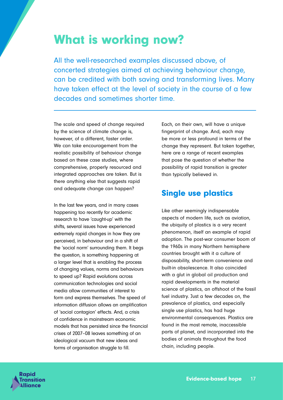# What is working now?

All the well-researched examples discussed above, of concerted strategies aimed at achieving behaviour change, can be credited with both saving and transforming lives. Many have taken effect at the level of society in the course of a few decades and sometimes shorter time.

The scale and speed of change required by the science of climate change is, however, of a different, faster order. We can take encouragement from the realistic possibility of behaviour change based on these case studies, where comprehensive, properly resourced and integrated approaches are taken. But is there anything else that suggests rapid and adequate change can happen?

In the last few years, and in many cases happening too recently for academic research to have 'caught-up' with the shifts, several issues have experienced extremely rapid changes in how they are perceived, in behaviour and in a shift of the 'social norm' surrounding them. It begs the question, is something happening at a larger level that is enabling the process of changing values, norms and behaviours to speed up? Rapid evolutions across communication technologies and social media allow communities of interest to form and express themselves. The speed of information diffusion allows an amplification of 'social contagion' effects. And, a crisis of confidence in mainstream economic models that has persisted since the financial crises of 2007–08 leaves something of an ideological vacuum that new ideas and forms of organisation struggle to fill.

Each, on their own, will have a unique fingerprint of change. And, each may be more or less profound in terms of the change they represent. But taken together, here are a range of recent examples that pose the question of whether the possibility of rapid transition is greater than typically believed in.

# Single use plastics

Like other seemingly indispensable aspects of modern life, such as aviation, the ubiquity of plastics is a very recent phenomenon, itself an example of rapid adoption. The post-war consumer boom of the 1960s in many Northern hemisphere countries brought with it a culture of disposability, short-term convenience and built-in obsolescence. It also coincided with a glut in global oil production and rapid developments in the material science of plastics, an offshoot of the fossil fuel industry. Just a few decades on, the prevalence of plastics, and especially single use plastics, has had huge environmental consequences. Plastics are found in the most remote, inaccessible parts of planet, and incorporated into the bodies of animals throughout the food chain, including people.

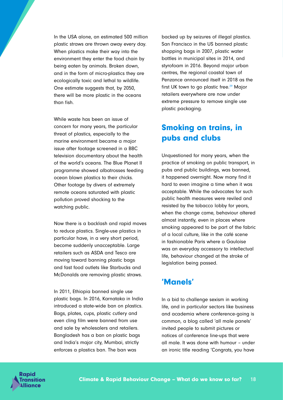In the USA alone, an estimated 500 million plastic straws are thrown away every day. When plastics make their way into the environment they enter the food chain by being eaten by animals. Broken down, and in the form of micro-plastics they are ecologically toxic and lethal to wildlife. One estimate suggests that, by 2050, there will be more plastic in the oceans than fish.

While waste has been an issue of concern for many years, the particular threat of plastics, especially to the marine environment became a major issue after footage screened in a BBC television documentary about the health of the world's oceans. The Blue Planet II programme showed albatrosses feeding ocean blown plastics to their chicks. Other footage by divers of extremely remote oceans saturated with plastic pollution proved shocking to the watching public.

Now there is a backlash and rapid moves to reduce plastics. Single-use plastics in particular have, in a very short period, become suddenly unacceptable. Large retailers such as ASDA and Tesco are moving toward banning plastic bags and fast food outlets like Starbucks and McDonalds are removing plastic straws.

In 2011, Ethiopia banned single use plastic bags. In 2016, Karnataka in India introduced a state-wide ban on plastics. Bags, plates, cups, plastic cutlery and even cling film were banned from use and sale by wholesalers and retailers. Bangladesh has a ban on plastic bags and India's major city, Mumbai, strictly enforces a plastics ban. The ban was

backed up by seizures of illegal plastics. San Francisco in the US banned plastic shopping bags in 2007, plastic water bottles in municipal sites in 2014, and styrofoam in 2016. Beyond major urban centres, the regional coastal town of Penzance announced itself in 2018 as the first UK town to go plastic free.<sup>29</sup> Major retailers everywhere are now under extreme pressure to remove single use plastic packaging.

# Smoking on trains, in pubs and clubs

Unquestioned for many years, when the practice of smoking on public transport, in pubs and public buildings, was banned, it happened overnight. Now many find it hard to even imagine a time when it was acceptable. While the advocates for such public health measures were reviled and resisted by the tobacco lobby for years, when the change came, behaviour altered almost instantly, even in places where smoking appeared to be part of the fabric of a local culture, like in the café scene in fashionable Paris where a Gauloise was an everyday accessory to intellectual life, behaviour changed at the stroke of legislation being passed.

# 'Manels'

In a bid to challenge sexism in working life, and in particular sectors like business and academia where conference-going is common, a blog called 'all male panels' invited people to submit pictures or notices of conference line-ups that were all male. It was done with humour – under an ironic title reading 'Congrats, you have

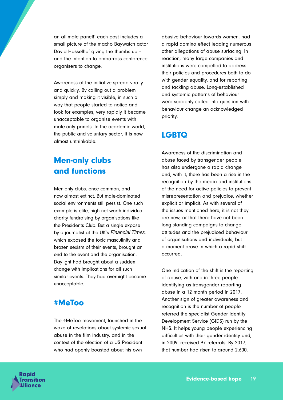an all-male panel!' each post includes a small picture of the macho Baywatch actor David Hasselhof giving the thumbs up – and the intention to embarrass conference organisers to change.

Awareness of the initiative spread virally and quickly. By calling out a problem simply and making it visible, in such a way that people started to notice and look for examples, very rapidly it became unacceptable to organise events with male-only panels. In the academic world, the public and voluntary sector, it is now almost unthinkable.

# Men-only clubs and functions

Men-only clubs, once common, and now almost extinct. But male-dominated social environments still persist. One such example is elite, high net worth individual charity fundraising by organisations like the Presidents Club. But a single expose by a journalist at the UK's *Financial Times*, which exposed the toxic masculinity and brazen sexism of their events, brought an end to the event and the organisation. Daylight had brought about a sudden change with implications for all such similar events. They had overnight become unacceptable.

### #MeToo

The #MeToo movement, launched in the wake of revelations about systemic sexual abuse in the film industry, and in the context of the election of a US President who had openly boasted about his own

abusive behaviour towards women, had a rapid domino effect leading numerous other allegations of abuse surfacing. In reaction, many large companies and institutions were compelled to address their policies and procedures both to do with gender equality, and for reporting and tackling abuse. Long-established and systemic patterns of behaviour were suddenly called into question with behaviour change an acknowledged priority.

# LGBTQ

Awareness of the discrimination and abuse faced by transgender people has also undergone a rapid change and, with it, there has been a rise in the recognition by the media and institutions of the need for active policies to prevent misrepresentation and prejudice, whether explicit or implicit. As with several of the issues mentioned here, it is not they are new, or that there have not been long-standing campaigns to change attitudes and the prejudiced behaviour of organisations and individuals, but a moment arose in which a rapid shift occurred.

One indication of the shift is the reporting of abuse, with one in three people identifying as transgender reporting abuse in a 12 month period in 2017. Another sign of greater awareness and recognition is the number of people referred the specialist Gender Identity Development Service (GIDS) run by the NHS. It helps young people experiencing difficulties with their gender identity and, in 2009, received 97 referrals. By 2017, that number had risen to around 2,600.

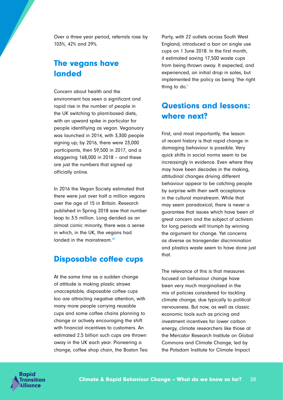Over a three year period, referrals rose by 103%, 42% and 29%.

# The vegans have landed

Concern about health and the environment has seen a significant and rapid rise in the number of people in the UK switching to plant-based diets, with an upward spike in particular for people identifiying as vegan. Veganuary was launched in 2014, with 3,300 people signing up; by 2016, there were 23,000 participants, then 59,500 in 2017, and a staggering 168,000 in 2018 – and these are just the numbers that signed up officially online.

In 2016 the Vegan Society estimated that there were just over half a million vegans over the age of 15 in Britain. Research published in Spring 2018 saw that number leap to 3.5 million. Long derided as an almost comic minority, there was a sense in which, in the UK, the vegans had landed in the mainstream.<sup>30</sup>

### Disposable coffee cups

At the same time as a sudden change of attitude is making plastic straws unacceptable, disposable coffee cups too are attracting negative attention, with many more people carrying reusable cups and some coffee chains planning to change or actively encouraging the shift with financial incentives to customers. An estimated 2.5 billion such cups are thrown away in the UK each year. Pioneering a change, coffee shop chain, the Boston Tea Party, with 22 outlets across South West England, introduced a ban on single use cups on 1 June 2018. In the first month, it estimated saving 17,500 waste cups from being thrown away. It expected, and experienced, an initial drop in sales, but implemented the policy as being 'the right thing to do.'

# Questions and lessons: where next?

First, and most importantly, the lesson of recent history is that rapid change in damaging behaviour is possible. Very quick shifts in social norms seem to be increasingly in evidence. Even where they may have been decades in the making, attitudinal changes driving different behaviour appear to be catching people by surprise with their swift acceptance in the cultural mainstream. While that may seem paradoxical, there is never a guarantee that issues which have been of great concern and the subject of activism for long periods will triumph by winning the argument for change. Yet concerns as diverse as transgender discrimination and plastics waste seem to have done just that.

The relevance of this is that measures focused on behaviour change have been very much marginalised in the mix of policies considered for tackling climate change, due typically to political nervousness. But now, as well as classic economic tools such as pricing and investment incentives for lower carbon energy, climate researchers like those at the Mercator Research Institute on Global Commons and Climate Change, led by the Potsdam Institute for Climate Impact

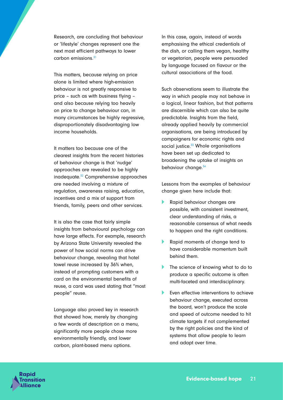Research, are concluding that behaviour or 'lifestyle' changes represent one the next most efficient pathways to lower carbon emissions. $31$ 

This matters, because relying on price alone is limited where high-emission behaviour is not greatly responsive to price – such as with business flying – and also because relying too heavily on price to change behaviour can, in many circumstances be highly regressive, disproportionately disadvantaging low income households.

It matters too because one of the clearest insights from the recent histories of behaviour change is that 'nudge' approaches are revealed to be highly inadequate.32 Comprehensive approaches are needed involving a mixture of regulation, awareness raising, education, incentives and a mix of support from friends, family, peers and other services.

It is also the case that fairly simple insights from behavioural psychology can have large effects. For example, research by Arizona State University revealed the power of how social norms can drive behaviour change, revealing that hotel towel reuse increased by 36% when, instead of prompting customers with a card on the environmental benefits of reuse, a card was used stating that "most people" reuse.

Language also proved key in research that showed how, merely by changing a few words of description on a menu, significantly more people chose more environmentally friendly, and lower carbon, plant-based menu options.

In this case, again, instead of words emphasising the ethical credentials of the dish, or calling them vegan, healthy or vegetarian, people were persuaded by language focused on flavour or the cultural associations of the food.

Such observations seem to illustrate the way in which people may not behave in a logical, linear fashion, but that patterns are discernible which can also be quite predictable. Insights from the field, already applied heavily by commercial organisations, are being introduced by campaigners for economic rights and social justice.<sup>33</sup> Whole organisations have been set up dedicated to broadening the uptake of insights on behaviour change.<sup>34</sup>

Lessons from the examples of behaviour change given here include that:

- A Rapid behaviour changes are possible, with consistent investment, clear understanding of risks, a reasonable consensus of what needs to happen and the right conditions.
- **A Rapid moments of change tend to** have considerable momentum built behind them.
- The science of knowing what to do to produce a specific outcome is often multi-faceted and interdisciplinary.
- Even effective interventions to achieve behaviour change, executed across the board, won't produce the scale and speed of outcome needed to hit climate targets if not complemented by the right policies and the kind of systems that allow people to learn and adapt over time.

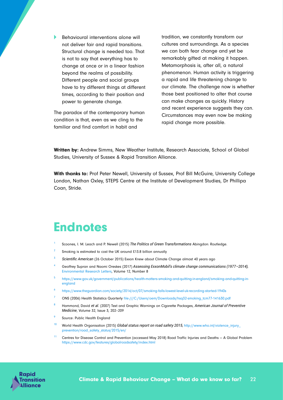**Behavioural interventions alone will** not deliver fair and rapid transitions. Structural change is needed too. That is not to say that everything has to change at once or in a linear fashion beyond the realms of possibility. Different people and social groups have to try different things at different times, according to their position and power to generate change.

The paradox of the contemporary human condition is that, even as we cling to the familiar and find comfort in habit and

tradition, we constantly transform our cultures and surroundings. As a species we can both fear change and yet be remarkably gifted at making it happen. Metamorphosis is, after all, a natural phenomenon. Human activity is triggering a rapid and life threatening change to our climate. The challenge now is whether those best positioned to alter that course can make changes as quickly. History and recent experience suggests they can. Circumstances may even now be making rapid change more possible.

Written by: Andrew Simms, New Weather Institute, Research Associate, School of Global Studies, University of Sussex & Rapid Transition Alliance.

With thanks to: Prof Peter Newell, University of Sussex, Prof Bill McGuire, University College London, Nathan Oxley, STEPS Centre at the Institute of Development Studies, Dr Phillipa Coan, Stride.

# **Endnotes**

- <sup>1</sup> Scoones, I. M. Leach and P. Newell (2015) *The Politics of Green Transformations* Abingdon: Routledge.
- <sup>2</sup> Smoking is estimated to cost the UK around £13.8 billion annually
- <sup>3</sup> *Scientific American* (26 October 2015) Exxon Knew about Climate Change almost 40 years ago
- <sup>4</sup> Geoffrey Supran and Naomi Oreskes (2017) *Assessing ExxonMobil's climate change communications (1977–2014),*  [Environmental Research Letters,](http://iopscience.iop.org/journal/1748-9326) [Volume 12](http://iopscience.iop.org/volume/1748-9326/12), [Number 8](http://iopscience.iop.org/issue/1748-9326/12/8)
- <sup>5</sup> [https://www.gov.uk/government/publications/health-matters-smoking-and-quitting-in-england/smoking-and-quitting-in](https://www.gov.uk/government/publications/health-matters-smoking-and-quitting-in-england/smoking-and-quitting-in-england)[england](https://www.gov.uk/government/publications/health-matters-smoking-and-quitting-in-england/smoking-and-quitting-in-england)
- <sup>6</sup> <https://www.theguardian.com/society/2014/oct/07/smoking-falls-lowest-level-uk-recording-started-1940s>
- <sup>7</sup> ONS (2006) Health Statistics Quarterly [file:///C:/Users/oem/Downloads/hsq32-smoking\\_tcm77-141630.pdf](file:///C:/Users/oem/Downloads/hsq32-smoking_tcm77-141630.pdf)
- <sup>8</sup> Hammond, David *et al.* (2007) Text and Graphic Warnings on Cigarette Packages, *American Journal of Preventive Medicine*, Volume 32, Issue 3, 202–209
- Source: Public Health England
- <sup>10</sup> World Health Organisation (2015) *Global status report on road safety 2015.* http://www.who.int/violence\_injury [prevention/road\\_safety\\_status/2015/en/](http://www.who.int/violence_injury_prevention/road_safety_status/2015/en/)
- <sup>11</sup> Centres for Disease Control and Prevention (accessed May 2018) Road Traffic Injuries and Deaths A Global Problem <https://www.cdc.gov/features/globalroadsafety/index.html>

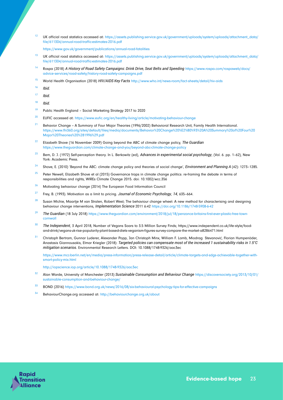- <sup>12</sup> UK official road statistics accessed at: [https://assets.publishing.service.gov.uk/government/uploads/system/uploads/attachment\\_data/](https://assets.publishing.service.gov.uk/government/uploads/system/uploads/attachment_data/file/611304/annual-road-traffic-estimates-2016.pdf) [file/611304/annual-road-traffic-estimates-2016.pdf](https://assets.publishing.service.gov.uk/government/uploads/system/uploads/attachment_data/file/611304/annual-road-traffic-estimates-2016.pdf)
	- <https://www.gov.uk/government/publications/annual-road-fatalities>
- <sup>13</sup> UK official road statistics accessed at: [https://assets.publishing.service.gov.uk/government/uploads/system/uploads/attachment\\_data/](https://assets.publishing.service.gov.uk/government/uploads/system/uploads/attachment_data/file/611304/annual-road-traffic-estimates-2016.pdf) [file/611304/annual-road-traffic-estimates-2016.pdf](https://assets.publishing.service.gov.uk/government/uploads/system/uploads/attachment_data/file/611304/annual-road-traffic-estimates-2016.pdf)
- <sup>14</sup> Rospa (2018) *A History of Road Safety Campaigns: Drink Drive, Seat Belts and Speeding* [https://www.rospa.com/rospaweb/docs/](https://www.rospa.com/rospaweb/docs/advice-services/road-safety/history-road-safety-campaigns.pdf) [advice-services/road-safety/history-road-safety-campaigns.pdf](https://www.rospa.com/rospaweb/docs/advice-services/road-safety/history-road-safety-campaigns.pdf)
- <sup>15</sup> World Health Organisation (2018) *HIV/AIDS Key Facts* <http://www.who.int/news-room/fact-sheets/detail/hiv-aids>
- <sup>16</sup> *Ibid.*
- <sup>17</sup> *Ibid.*
- <sup>18</sup> *Ibid.*
- <sup>19</sup> Public Health England Social Marketing Strategy 2017 to 2020
- <sup>20</sup> EUFIC accessed at:<https://www.eufic.org/en/healthy-living/article/motivating-behaviour-change>
- <sup>21</sup> Behavior Change A Summary of Four Major Theories (1996/2002) Behavioral Research Unit, Family Health International. [https://www.fhi360.org/sites/default/files/media/documents/Behavior%20Change%20%E2%80%93%20A%20Summary%20of%20Four%20](https://www.fhi360.org/sites/default/files/media/documents/Behavior%20Change%20%E2%80%93%20A%20Summary%20of%20Four%20Major%20Theories%20%281996%29.pdf) [Major%20Theories%20%281996%29.pdf](https://www.fhi360.org/sites/default/files/media/documents/Behavior%20Change%20%E2%80%93%20A%20Summary%20of%20Four%20Major%20Theories%20%281996%29.pdf)
- <sup>22</sup> Elizabeth Shove (16 November 2009) Going beyond the ABC of climate change policy, *The Guardian*  <https://www.theguardian.com/climate-change-and-you/beyond-abc-climate-change-policy>
- <sup>23</sup> Bem, D. J. (1972) Self-perception theory. In L. Berkowitz (ed), *Advances in experimental social psychology*, (Vol. 6. pp. 1–62), New York: Academic Press.
- <sup>24</sup> Shove, E. (2010) 'Beyond the ABC: climate change policy and theories of social change', *Environment and Planning A* (42): 1273–1285.
- <sup>25</sup> Peter Newell, Elizabeth Shove et al (2015) Governance traps in climate change politics: re-framing the debate in terms of responsibilities and rights, WIREs Climate Change 2015. doi: 10.1002/wcc.356
- $26$  Motivating behaviour change (2014) The European Food Information Council
- <sup>27</sup> Frey, B. (1993). Motivation as a limit to pricing. *Journal of Economic Psychology*, *14*, 635–664.
- $28$  Susan Michie, Maartje M van Stralen, Robert West; The behaviour change wheel: A new method for characterising and designing behaviour change interventions, *Implementation Science* 2011 6:42<https://doi.org/10.1186/1748-5908-6-42>
- <sup>29</sup> The Guardian (18 July 2018) [https://www.theguardian.com/environment/2018/jul/18/penzance-britains-first-ever-plastic-free-town](https://www.theguardian.com/environment/2018/jul/18/penzance-britains-first-ever-plastic-free-town-cornwall)[cornwall](https://www.theguardian.com/environment/2018/jul/18/penzance-britains-first-ever-plastic-free-town-cornwall)
- <sup>30</sup> *The Independent*, 3 April 2018, Number of Vegans Soars to 3.5 Million Survey Finds; https://www.independent.co.uk/life-style/foodand-drink/vegans-uk-rise-popularity-plant-based-diets-veganism-figures-survey-compare-the-market-a8286471.html
- 31 Christoph Bertram, Gunnar Luderer, Alexander Popp, Jan Christoph Minx, William F. Lamb, Miodrag Stevanović, Florian Humpenöder, Anastasis Giannousakis, Elmar Kriegler (2018): *Targeted policies can compensate most of the increased 1 sustainability risks in 1.5°C mitigation scenarios.* Environmental Research Letters. DOI: 10.1088/1748-9326/aac3ec

[https://www.mcc-berlin.net/en/media/press-information/press-release-detail/article/climate-targets-and-sdgs-achievable-together-with](https://www.mcc-berlin.net/en/media/press-information/press-release-detail/article/climate-targets-and-sdgs-achievable-together-with-smart-policy-mix.html)[smart-policy-mix.html](https://www.mcc-berlin.net/en/media/press-information/press-release-detail/article/climate-targets-and-sdgs-achievable-together-with-smart-policy-mix.html)

<http://iopscience.iop.org/article/10.1088/1748-9326/aac3ec>

- <sup>32</sup> Alan Warde, University of Manchester (2013) *Sustainable Consumption and Behaviour Change* [https://discoversociety.org/2013/10/01/](https://discoversociety.org/2013/10/01/sustainable-consumption-and-behaviour-change/) [sustainable-consumption-and-behaviour-change/](https://discoversociety.org/2013/10/01/sustainable-consumption-and-behaviour-change/)
- <sup>33</sup> BOND (2016) <https://www.bond.org.uk/news/2016/08/six-behavioural-psychology-tips-for-effective-campaigns>
- <sup>34</sup> BehaviourChange.org accessed at:<http://behaviourchange.org.uk/about>